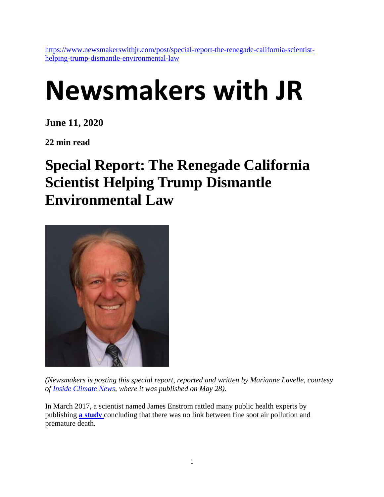[https://www.newsmakerswithjr.com/post/special-report-the-renegade-california-scientist](https://www.newsmakerswithjr.com/post/special-report-the-renegade-california-scientist-helping-trump-dismantle-environmental-law)[helping-trump-dismantle-environmental-law](https://www.newsmakerswithjr.com/post/special-report-the-renegade-california-scientist-helping-trump-dismantle-environmental-law)

# **Newsmakers with JR**

**June 11, 2020**

**22 min read**

## **Special Report: The Renegade California Scientist Helping Trump Dismantle Environmental Law**



*(Newsmakers is posting this special report, reported and written by Marianne Lavelle, courtesy of [Inside Climate News,](https://insideclimatenews.org/) where it was published on May 28).*

In March 2017, a scientist named James Enstrom rattled many public health experts by publishing **[a study](https://journals.sagepub.com/doi/full/10.1177/1559325817693345)** concluding that there was no link between fine soot air pollution and premature death.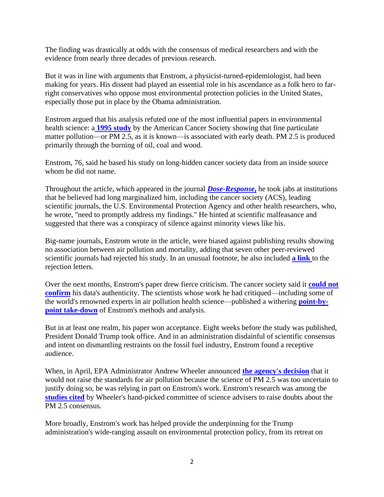The finding was drastically at odds with the consensus of medical researchers and with the evidence from nearly three decades of previous research.

But it was in line with arguments that Enstrom, a physicist-turned-epidemiologist, had been making for years. His dissent had played an essential role in his ascendance as a folk hero to farright conservatives who oppose most environmental protection policies in the United States, especially those put in place by the Obama administration.

Enstrom argued that his analysis refuted one of the most influential papers in environmental health science: a **[1995 study](https://www.ncbi.nlm.nih.gov/pubmed/7881654)** by the American Cancer Society showing that fine particulate matter pollution—or PM 2.5, as it is known—is associated with early death. PM 2.5 is produced primarily through the burning of oil, coal and wood.

Enstrom, 76, said he based his study on long-hidden cancer society data from an inside source whom he did not name.

Throughout the article, which appeared in the journal *[Dose-Response](https://journals.sagepub.com/home/dos)***,** he took jabs at institutions that he believed had long marginalized him, including the cancer society (ACS), leading scientific journals, the U.S. Environmental Protection Agency and other health researchers, who, he wrote, "need to promptly address my findings." He hinted at scientific malfeasance and suggested that there was a conspiracy of silence against minority views like his.

Big-name journals, Enstrom wrote in the article, were biased against publishing results showing no association between air pollution and mortality, adding that seven other peer-reviewed scientific journals had rejected his study. In an unusual footnote, he also included **[a link](https://journals.sagepub.com/doi/full/10.1177/1559325817693345)** to the rejection letters.

Over the next months, Enstrom's paper drew fierce criticism. The cancer society said it **[could not](https://journals.sagepub.com/doi/full/10.1177/1559325817749412)  [confirm](https://journals.sagepub.com/doi/full/10.1177/1559325817749412)** his data's authenticity. The scientists whose work he had critiqued—including some of the world's renowned experts in air pollution health science—published a withering **[point-by](https://www.ncbi.nlm.nih.gov/pmc/articles/PMC5734464/)[point take-down](https://www.ncbi.nlm.nih.gov/pmc/articles/PMC5734464/)** of Enstrom's methods and analysis.

But in at least one realm, his paper won acceptance. Eight weeks before the study was published, President Donald Trump took office. And in an administration disdainful of scientific consensus and intent on dismantling restraints on the fossil fuel industry, Enstrom found a receptive audience.

When, in April, EPA Administrator Andrew Wheeler announced **[the agency's decision](https://insideclimatenews.org/news/14042020/air-pollution-epa-covid-pm2.5-secret-science-rule-health-fuel-standard-climate-change)** that it would not raise the standards for air pollution because the science of PM 2.5 was too uncertain to justify doing so, he was relying in part on Enstrom's work. Enstrom's research was among the **[studies cited](https://yosemite.epa.gov/sab/sabproduct.nsf/6CBCBBC3025E13B4852583D90047B352/$File/EPA-CASAC-19-002+.pdf)** by Wheeler's hand-picked committee of science advisers to raise doubts about the PM 2.5 consensus.

More broadly, Enstrom's work has helped provide the underpinning for the Trump administration's wide-ranging assault on environmental protection policy, from its retreat on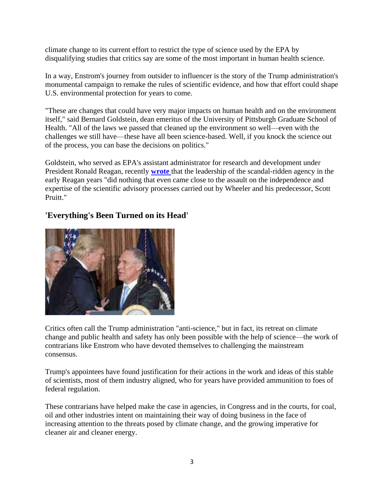climate change to its current effort to restrict the type of science used by the EPA by disqualifying studies that critics say are some of the most important in human health science.

In a way, Enstrom's journey from outsider to influencer is the story of the Trump administration's monumental campaign to remake the rules of scientific evidence, and how that effort could shape U.S. environmental protection for years to come.

"These are changes that could have very major impacts on human health and on the environment itself," said Bernard Goldstein, dean emeritus of the University of Pittsburgh Graduate School of Health. "All of the laws we passed that cleaned up the environment so well—even with the challenges we still have—these have all been science-based. Well, if you knock the science out of the process, you can base the decisions on politics."

Goldstein, who served as EPA's assistant administrator for research and development under President Ronald Reagan, recently **[wrote](https://www.washingtonpost.com/opinions/if-i-were-still-working-at-the-epa-i-would-resign/2019/04/02/88e6e2b8-519a-11e9-88a1-ed346f0ec94f_story.html)** that the leadership of the scandal-ridden agency in the early Reagan years "did nothing that even came close to the assault on the independence and expertise of the scientific advisory processes carried out by Wheeler and his predecessor, Scott Pruitt."



#### **'Everything's Been Turned on its Head'**

Critics often call the Trump administration "anti-science," but in fact, its retreat on climate change and public health and safety has only been possible with the help of science—the work of contrarians like Enstrom who have devoted themselves to challenging the mainstream consensus.

Trump's appointees have found justification for their actions in the work and ideas of this stable of scientists, most of them industry aligned, who for years have provided ammunition to foes of federal regulation.

These contrarians have helped make the case in agencies, in Congress and in the courts, for coal, oil and other industries intent on maintaining their way of doing business in the face of increasing attention to the threats posed by climate change, and the growing imperative for cleaner air and cleaner energy.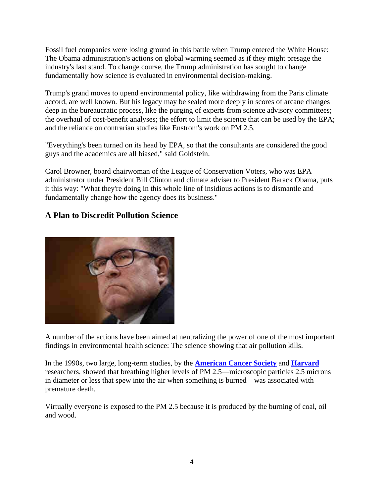Fossil fuel companies were losing ground in this battle when Trump entered the White House: The Obama administration's actions on global warming seemed as if they might presage the industry's last stand. To change course, the Trump administration has sought to change fundamentally how science is evaluated in environmental decision-making.

Trump's grand moves to upend environmental policy, like withdrawing from the Paris climate accord, are well known. But his legacy may be sealed more deeply in scores of arcane changes deep in the bureaucratic process, like the purging of experts from science advisory committees; the overhaul of cost-benefit analyses; the effort to limit the science that can be used by the EPA; and the reliance on contrarian studies like Enstrom's work on PM 2.5.

"Everything's been turned on its head by EPA, so that the consultants are considered the good guys and the academics are all biased," said Goldstein.

Carol Browner, board chairwoman of the League of Conservation Voters, who was EPA administrator under President Bill Clinton and climate adviser to President Barack Obama, puts it this way: "What they're doing in this whole line of insidious actions is to dismantle and fundamentally change how the agency does its business."

#### **A Plan to Discredit Pollution Science**



A number of the actions have been aimed at neutralizing the power of one of the most important findings in environmental health science: The science showing that air pollution kills.

In the 1990s, two large, long-term studies, by the **[American Cancer Society](https://www.atsjournals.org/doi/abs/10.1164/ajrccm/151.3_Pt_1.669?utm_campaign=Am_J_Respir_Crit_Care_Med_TrendMD_0&utm_medium=cpc&utm_source=TrendMD&journalCode=ajrccm)** and **[Harvard](https://www.nejm.org/doi/full/10.1056/NEJM199312093292401)** researchers, showed that breathing higher levels of PM 2.5—microscopic particles 2.5 microns in diameter or less that spew into the air when something is burned—was associated with premature death.

Virtually everyone is exposed to the PM 2.5 because it is produced by the burning of coal, oil and wood.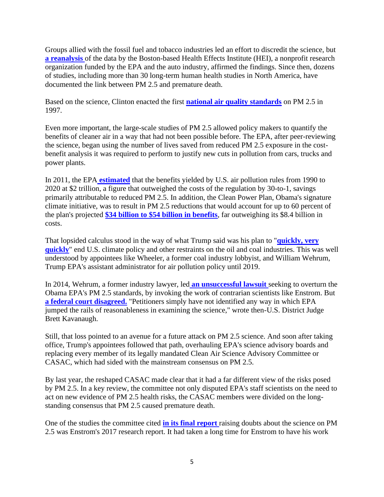Groups allied with the fossil fuel and tobacco industries led an effort to discredit the science, but **[a reanalysis](https://www.healtheffects.org/system/files/HEI-Reanalysis-2000.pdf)** of the data by the Boston-based Health Effects Institute (HEI), a nonprofit researc[h](https://www.healtheffects.org/system/files/HEI-Reanalysis-2000.pdf)  organization funded by the EPA and the auto industry, affirmed the findings. Since then, dozens of studies, including more than 30 long-term human health studies in North America, have documented the link between PM 2.5 and premature death.

Based on the science, Clinton enacted the first **[national air quality standards](https://www3.epa.gov/region1/airquality/pm-aq-standards.html)** on PM 2.5 in 1997.

Even more important, the large-scale studies of PM 2.5 allowed policy makers to quantify the benefits of cleaner air in a way that had not been possible before. The EPA, after peer-reviewing the science, began using the number of lives saved from reduced PM 2.5 exposure in the costbenefit analysis it was required to perform to justify new cuts in pollution from cars, trucks and power plants.

In 2011, the EPA **[estimated](https://www.epa.gov/clean-air-act-overview/benefits-and-costs-clean-air-act-1990-2020-report-documents-and-graphics)** that the benefits yielded by U.S. air pollution rules from 1990 to 2020 at \$2 trillion, a figure that outweighed the costs of the regulation by 30-to-1, savings primarily attributable to reduced PM 2.5. In addition, the Clean Power Plan, Obama's signature climate initiative, was to result in PM 2.5 reductions that would account for up to 60 percent of the plan's projected **[\\$34 billion to \\$54 billion in benefits](https://19january2017snapshot.epa.gov/cleanpowerplan/fact-sheet-clean-power-plan-numbers_.html)**, far outweighing its \$8.4 billion in costs.

That lopsided calculus stood in the way of what Trump said was his plan to "**[quickly, very](https://factba.se/transcript/donald-trump-speech-williston-nd-may-26-2016)  [quickly](https://factba.se/transcript/donald-trump-speech-williston-nd-may-26-2016)**" end U.S. climate policy and other restraints on the oil and coal industries. This was well understood by appointees like Wheeler, a former coal industry lobbyist, and William Wehrum, Trump EPA's assistant administrator for air pollution policy until 2019.

In 2014, Wehrum, a former industry lawyer, led **[an unsuccessful lawsuit](https://www.documentcloud.org/documents/6888653-Wehrum-Brief.html)** seeking to overturn the Obama EPA's PM 2.5 standards, by invoking the work of contrarian scientists like Enstrom. But **[a federal court disagreed.](https://www.cadc.uscourts.gov/internet/opinions.nsf/79B9F1D1DC6DCD9585257CD3004EC5EB/$file/13-1069-1492213.pdf)** "Petitioners simply have not identified any way in which EPA jumped the rails of reasonableness in examining the science," wrote then-U.S. District Judge Brett Kavanaugh.

Still, that loss pointed to an avenue for a future attack on PM 2.5 science. And soon after taking office, Trump's appointees followed that path, overhauling EPA's science advisory boards and replacing every member of its legally mandated Clean Air Science Advisory Committee or CASAC, which had sided with the mainstream consensus on PM 2.5.

By last year, the reshaped CASAC made clear that it had a far different view of the risks posed by PM 2.5. In a key review, the committee not only disputed EPA's staff scientists on the need to act on new evidence of PM 2.5 health risks, the CASAC members were divided on the longstanding consensus that PM 2.5 caused premature death.

One of the studies the committee cited **[in its final report](https://yosemite.epa.gov/sab/sabproduct.nsf/6CBCBBC3025E13B4852583D90047B352/$File/EPA-CASAC-19-002+.pdf)** raising doubts about the science on PM 2.5 was Enstrom's 2017 research report. It had taken a long time for Enstrom to have his work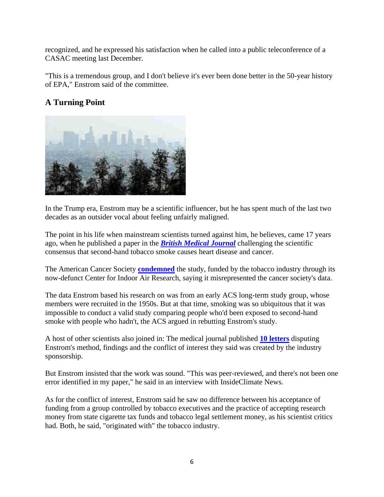recognized, and he expressed his satisfaction when he called into a public teleconference of a CASAC meeting last December.

"This is a tremendous group, and I don't believe it's ever been done better in the 50-year history of EPA," Enstrom said of the committee.

#### **A Turning Point**



In the Trump era, Enstrom may be a scientific influencer, but he has spent much of the last two decades as an outsider vocal about feeling unfairly maligned.

The point in his life when mainstream scientists turned against him, he believes, came 17 years ago, when he published a paper in the *[British Medical Journal](https://www.bmj.com/content/326/7398/1057)* challenging the scientific consensus that second-hand tobacco smoke causes heart disease and cancer.

The American Cancer Society **[condemned](https://www.businesswire.com/news/home/20030516005417/en/American-Cancer-Society-Condemns-Tobacco-Industry-Study#.WhSRgLiqFQI.email)** the study, funded by the tobacco industry through its now-defunct Center for Indoor Air Research, saying it misrepresented the cancer society's data.

The data Enstrom based his research on was from an early ACS long-term study group, whose members were recruited in the 1950s. But at that time, smoking was so ubiquitous that it was impossible to conduct a valid study comparing people who'd been exposed to second-hand smoke with people who hadn't, the ACS argued in rebutting Enstrom's study.

A host of other scientists also joined in: The medical journal published **[10 letters](https://www.jstor.org/stable/25455390?seq=1)** disputing Enstrom's method, findings and the conflict of interest they said was created by the industry sponsorship.

But Enstrom insisted that the work was sound. "This was peer-reviewed, and there's not been one error identified in my paper," he said in an interview with InsideClimate News.

As for the conflict of interest, Enstrom said he saw no difference between his acceptance of funding from a group controlled by tobacco executives and the practice of accepting research money from state cigarette tax funds and tobacco legal settlement money, as his scientist critics had. Both, he said, "originated with" the tobacco industry.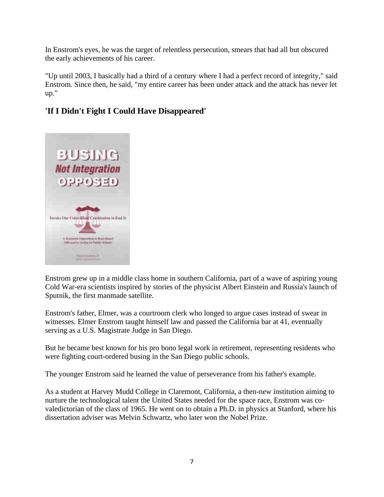In Enstrom's eyes, he was the target of relentless persecution, smears that had all but obscured the early achievements of his career.

"Up until 2003, I basically had a third of a century where I had a perfect record of integrity," said Enstrom. Since then, he said, "my entire career has been under attack and the attack has never let up."

#### **'If I Didn't Fight I Could Have Disappeared'**



Enstrom grew up in a middle class home in southern California, part of a wave of aspiring young Cold War-era scientists inspired by stories of the physicist Albert Einstein and Russia's launch of Sputnik, the first manmade satellite.

Enstrom's father, Elmer, was a courtroom clerk who longed to argue cases instead of swear in witnesses. Elmer Enstrom taught himself law and passed the California bar at 41, eventually serving as a U.S. Magistrate Judge in San Diego.

But he became best known for his pro bono legal work in retirement, representing residents who were fighting court-ordered busing in the San Diego public schools.

The younger Enstrom said he learned the value of perseverance from his father's example.

As a student at Harvey Mudd College in Claremont, California, a then-new institution aiming to nurture the technological talent the United States needed for the space race, Enstrom was covaledictorian of the class of 1965. He went on to obtain a Ph.D. in physics at Stanford, where his dissertation adviser was Melvin Schwartz, who later won the Nobel Prize.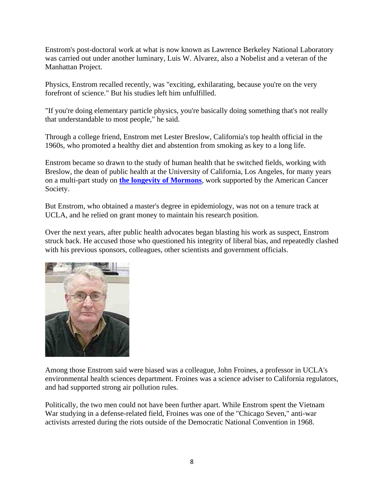Enstrom's post-doctoral work at what is now known as Lawrence Berkeley National Laboratory was carried out under another luminary, Luis W. Alvarez, also a Nobelist and a veteran of the Manhattan Project.

Physics, Enstrom recalled recently, was "exciting, exhilarating, because you're on the very forefront of science." But his studies left him unfulfilled.

"If you're doing elementary particle physics, you're basically doing something that's not really that understandable to most people," he said.

Through a college friend, Enstrom met Lester Breslow, California's top health official in the 1960s, who promoted a healthy diet and abstention from smoking as key to a long life.

Enstrom became so drawn to the study of human health that he switched fields, working with Breslow, the dean of public health at the University of California, Los Angeles, for many years on a multi-part study on **[the longevity of Mormons](https://acsjournals.onlinelibrary.wiley.com/doi/abs/10.1002/1097-0142(197810)42:4%3C1943::AID-CNCR2820420437%3E3.0.CO;2-L)**, work supported by the American Cancer Society.

But Enstrom, who obtained a master's degree in epidemiology, was not on a tenure track at UCLA, and he relied on grant money to maintain his research position.

Over the next years, after public health advocates began blasting his work as suspect, Enstrom struck back. He accused those who questioned his integrity of liberal bias, and repeatedly clashed with his previous sponsors, colleagues, other scientists and government officials.



Among those Enstrom said were biased was a colleague, John Froines, a professor in UCLA's environmental health sciences department. Froines was a science adviser to California regulators, and had supported strong air pollution rules.

Politically, the two men could not have been further apart. While Enstrom spent the Vietnam War studying in a defense-related field, Froines was one of the "Chicago Seven," anti-war activists arrested during the riots outside of the Democratic National Convention in 1968.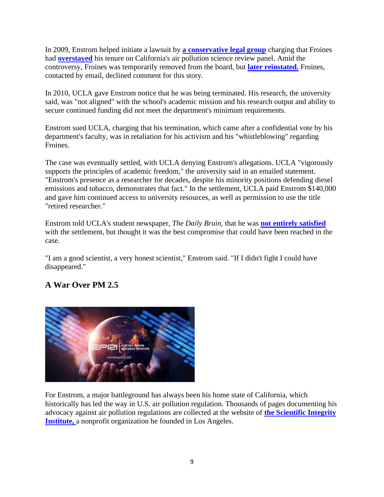In 2009, Enstrom helped initiate a lawsuit by **[a conservative legal group](https://pacificlegal.org/interesting-developments-out-of-ucla/)** charging that Froines had **[overstayed](https://pacificlegal.org/gutting-the-scientific-review-panel/)** his tenure on California's air pollution science review panel. Amid the controversy, Froines was temporarily removed from the board, but **[later reinstated.](https://www.documentcloud.org/documents/6890972-Froines-SRP-Moves.html)** Froines, contacted by email, declined comment for this story.

In 2010, UCLA gave Enstrom notice that he was being terminated. His research, the university said, was "not aligned" with the school's academic mission and his research output and ability to secure continued funding did not meet the department's minimum requirements.

Enstrom sued UCLA, charging that his termination, which came after a confidential vote by his department's faculty, was in retaliation for his activism and his "whistleblowing" regarding Froines.

The case was eventually settled, with UCLA denying Enstrom's allegations. UCLA "vigorously supports the principles of academic freedom," the university said in an emailed statement. "Enstrom's presence as a researcher for decades, despite his minority positions defending diesel emissions and tobacco, demonstrates that fact." In the settlement, UCLA paid Enstrom \$140,000 and gave him continued access to university resources, as well as permission to use the title "retired researcher."

Enstrom told UCLA's student newspaper, *The Daily Bruin*, that he was **[not entirely satisfied](https://dailybruin.com/2015/03/05/former-ucla-researcher-james-enstrom-reaches-settlement-with-uc/)** with the settlement, but thought it was the best compromise that could have been reached in the case.

"I am a good scientist, a very honest scientist," Enstrom said. "If I didn't fight I could have disappeared."

### **A War Over PM 2.5**



For Enstrom, a major battleground has always been his home state of California, which historically has led the way in U.S. air pollution regulation. Thousands of pages documenting his advocacy against air pollution regulations are collected at the website of **[the Scientific Integrity](http://scientificintegrityinstitute.org/)  [Institute,](http://scientificintegrityinstitute.org/)** a nonprofit organization he founded in Los Angeles.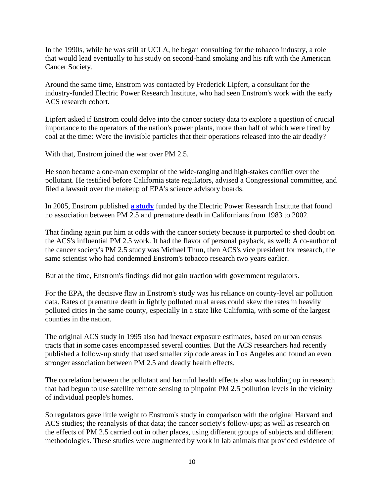In the 1990s, while he was still at UCLA, he began consulting for the tobacco industry, a role that would lead eventually to his study on second-hand smoking and his rift with the American Cancer Society.

Around the same time, Enstrom was contacted by Frederick Lipfert, a consultant for the industry-funded Electric Power Research Institute, who had seen Enstrom's work with the early ACS research cohort.

Lipfert asked if Enstrom could delve into the cancer society data to explore a question of crucial importance to the operators of the nation's power plants, more than half of which were fired by coal at the time: Were the invisible particles that their operations released into the air deadly?

With that, Enstrom joined the war over PM 2.5.

He soon became a one-man exemplar of the wide-ranging and high-stakes conflict over the pollutant. He testified before California state regulators, advised a Congressional committee, and filed a lawsuit over the makeup of EPA's science advisory boards.

In 2005, Enstrom published **[a study](https://www.tandfonline.com/doi/abs/10.1080/08958370500240413)** funded by the Electric Power Research Institute that found no association between PM 2.5 and premature death in Californians from 1983 to 2002.

That finding again put him at odds with the cancer society because it purported to shed doubt on the ACS's influential PM 2.5 work. It had the flavor of personal payback, as well: A co-author of the cancer society's PM 2.5 study was Michael Thun, then ACS's vice president for research, the same scientist who had condemned Enstrom's tobacco research two years earlier.

But at the time, Enstrom's findings did not gain traction with government regulators.

For the EPA, the decisive flaw in Enstrom's study was his reliance on county-level air pollution data. Rates of premature death in lightly polluted rural areas could skew the rates in heavily polluted cities in the same county, especially in a state like California, with some of the largest counties in the nation.

The original ACS study in 1995 also had inexact exposure estimates, based on urban census tracts that in some cases encompassed several counties. But the ACS researchers had recently published a follow-up study that used smaller zip code areas in Los Angeles and found an even stronger association between PM 2.5 and deadly health effects.

The correlation between the pollutant and harmful health effects also was holding up in research that had begun to use satellite remote sensing to pinpoint PM 2.5 pollution levels in the vicinity of individual people's homes.

So regulators gave little weight to Enstrom's study in comparison with the original Harvard and ACS studies; the reanalysis of that data; the cancer society's follow-ups; as well as research on the effects of PM 2.5 carried out in other places, using different groups of subjects and different methodologies. These studies were augmented by work in lab animals that provided evidence of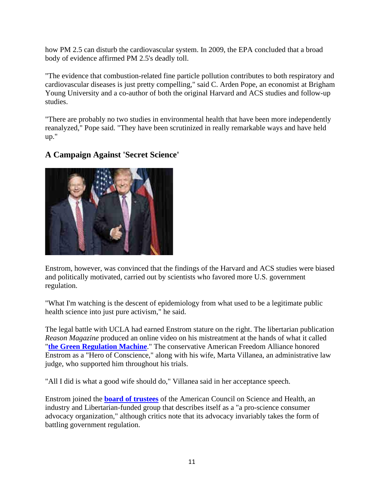how PM 2.5 can disturb the cardiovascular system. In 2009, the EPA concluded that a broad body of evidence affirmed PM 2.5's deadly toll.

"The evidence that combustion-related fine particle pollution contributes to both respiratory and cardiovascular diseases is just pretty compelling," said C. Arden Pope, an economist at Brigham Young University and a co-author of both the original Harvard and ACS studies and follow-up studies.

"There are probably no two studies in environmental health that have been more independently reanalyzed," Pope said. "They have been scrutinized in really remarkable ways and have held up."

#### **A Campaign Against 'Secret Science'**

Enstrom, however, was convinced that the findings of the Harvard and ACS studies were biased and politically motivated, carried out by scientists who favored more U.S. government regulation.

"What I'm watching is the descent of epidemiology from what used to be a legitimate public health science into just pure activism," he said.

The legal battle with UCLA had earned Enstrom stature on the right. The libertarian publication *Reason Magazine* produced an online video on his mistreatment at the hands of what it called "**[the Green Regulation Machine](https://reason.com/2011/04/04/the-green-politics-of-reprisal/)**." The conservative American Freedom Alliance honored Enstrom as a "Hero of Conscience," along with his wife, Marta Villanea, an administrative law judge, who supported him throughout his trials.

"All I did is what a good wife should do," Villanea said in her acceptance speech.

Enstrom joined the **[board of trustees](https://www.acsh.org/about-acsh/meet-the-team)** of the American Council on Science and Health, an industry and Libertarian-funded group that describes itself as a "a pro-science consumer advocacy organization," although critics note that its advocacy invariably takes the form of battling government regulation.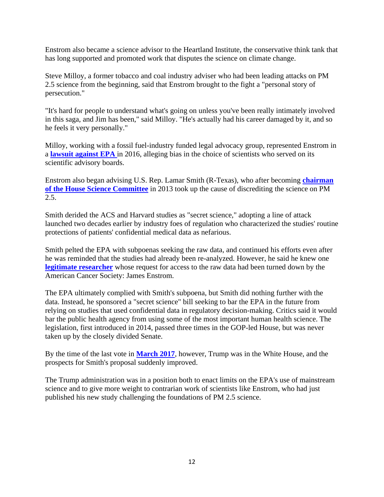Enstrom also became a science advisor to the Heartland Institute, the conservative think tank that has long supported and promoted work that disputes the science on climate change.

Steve Milloy, a former tobacco and coal industry adviser who had been leading attacks on PM 2.5 science from the beginning, said that Enstrom brought to the fight a "personal story of persecution."

"It's hard for people to understand what's going on unless you've been really intimately involved in this saga, and Jim has been," said Milloy. "He's actually had his career damaged by it, and so he feels it very personally."

Milloy, working with a fossil fuel-industry funded legal advocacy group, represented Enstrom in a **[lawsuit against EPA](https://eelegal.org/press-release-2/)** in 2016, alleging bias in the choice of scientists who served on its scientific advisory boards.

Enstrom also began advising U.S. Rep. Lamar Smith (R-Texas), who after becoming **[chairman](https://insideclimatenews.org/news/05122017/lamar-smith-congress-climate-change-fossil-fuel-industry-house-science-committee)  [of the House Science Committee](https://insideclimatenews.org/news/05122017/lamar-smith-congress-climate-change-fossil-fuel-industry-house-science-committee)** in 2013 took up the cause of discrediting the science on PM 2.5.

Smith derided the ACS and Harvard studies as "secret science," adopting a line of attack launched two decades earlier by industry foes of regulation who characterized the studies' routine protections of patients' confidential medical data as nefarious.

Smith pelted the EPA with subpoenas seeking the raw data, and continued his efforts even after he was reminded that the studies had already been re-analyzed. However, he said he knew one **[legitimate researcher](https://www.sciencemag.org/news/2013/08/will-house-science-panel-need-ethical-review)** whose request for access to the raw data had been turned down by the American Cancer Society: James Enstrom.

The EPA ultimately complied with Smith's subpoena, but Smith did nothing further with the data. Instead, he sponsored a "secret science" bill seeking to bar the EPA in the future from relying on studies that used confidential data in regulatory decision-making. Critics said it would bar the public health agency from using some of the most important human health science. The legislation, first introduced in 2014, passed three times in the GOP-led House, but was never taken up by the closely divided Senate.

By the time of the last vote in **[March 2017](http://clerk.house.gov/evs/2017/roll206.xml)**, however, Trump was in the White House, and the prospects for Smith's proposal suddenly improved.

The Trump administration was in a position both to enact limits on the EPA's use of mainstream science and to give more weight to contrarian work of scientists like Enstrom, who had just published his new study challenging the foundations of PM 2.5 science.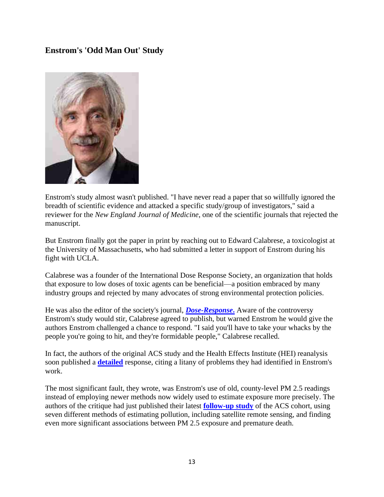#### **Enstrom's 'Odd Man Out' Study**



Enstrom's study almost wasn't published. "I have never read a paper that so willfully ignored the breadth of scientific evidence and attacked a specific study/group of investigators," said a reviewer for the *New England Journal of Medicine*, one of the scientific journals that rejected the manuscript.

But Enstrom finally got the paper in print by reaching out to Edward Calabrese, a toxicologist at the University of Massachusetts, who had submitted a letter in support of Enstrom during his fight with UCLA.

Calabrese was a founder of the International Dose Response Society, an organization that holds that exposure to low doses of toxic agents can be beneficial—a position embraced by many industry groups and rejected by many advocates of strong environmental protection policies.

He was also the editor of the society's journal, *[Dose-Response](https://journals.sagepub.com/home/dos)***.** Aware of the controversy Enstrom's study would stir, Calabrese agreed to publish, but warned Enstrom he would give the authors Enstrom challenged a chance to respond. "I said you'll have to take your whacks by the people you're going to hit, and they're formidable people," Calabrese recalled.

In fact, the authors of the original ACS study and the Health Effects Institute (HEI) reanalysis soon published a **[detailed](https://www.ncbi.nlm.nih.gov/pubmed/29276471)** response, citing a litany of problems they had identified in Enstrom's work.

The most significant fault, they wrote, was Enstrom's use of old, county-level PM 2.5 readings instead of employing newer methods now widely used to estimate exposure more precisely. The authors of the critique had just published their latest **[follow-up study](https://ehp.niehs.nih.gov/doi/10.1289/EHP575)** of the ACS cohort, using seven different methods of estimating pollution, including satellite remote sensing, and finding even more significant associations between PM 2.5 exposure and premature death.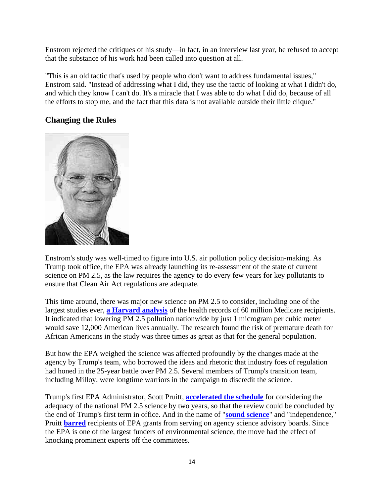Enstrom rejected the critiques of his study—in fact, in an interview last year, he refused to accept that the substance of his work had been called into question at all.

"This is an old tactic that's used by people who don't want to address fundamental issues," Enstrom said. "Instead of addressing what I did, they use the tactic of looking at what I didn't do, and which they know I can't do. It's a miracle that I was able to do what I did do, because of all the efforts to stop me, and the fact that this data is not available outside their little clique."

#### **Changing the Rules**



Enstrom's study was well-timed to figure into U.S. air pollution policy decision-making. As Trump took office, the EPA was already launching its re-assessment of the state of current science on PM 2.5, as the law requires the agency to do every few years for key pollutants to ensure that Clean Air Act regulations are adequate.

This time around, there was major new science on PM 2.5 to consider, including one of the largest studies ever, **[a Harvard analysis](https://www.ncbi.nlm.nih.gov/pmc/articles/PMC5766848/)** of the health records of 60 million Medicare recipients. It indicated that lowering PM 2.5 pollution nationwide by just 1 microgram per cubic meter would save 12,000 American lives annually. The research found the risk of premature death for African Americans in the study was three times as great as that for the general population.

But how the EPA weighed the science was affected profoundly by the changes made at the agency by Trump's team, who borrowed the ideas and rhetoric that industry foes of regulation had honed in the 25-year battle over PM 2.5. Several members of Trump's transition team, including Milloy, were longtime warriors in the campaign to discredit the science.

Trump's first EPA Administrator, Scott Pruitt, **[accelerated the schedule](https://www.epa.gov/sites/production/files/2018-05/documents/image2018-05-09-173219.pdf)** for considering the adequacy of the national PM 2.5 science by two years, so that the review could be concluded by the end of Trump's first term in office. And in the name of "**[sound science](https://www.nytimes.com/2017/10/31/climate/pruitt-epa-science-advisory-boards.html)**" and "independence," Pruitt **[barred](https://www.epa.gov/sites/production/files/2017-10/documents/final_draft_fac_memo-10.30.2017.pdf)** recipients of EPA grants from serving on agency science advisory boards. Since the EPA is one of the largest funders of environmental science, the move had the effect of knocking prominent experts off the committees.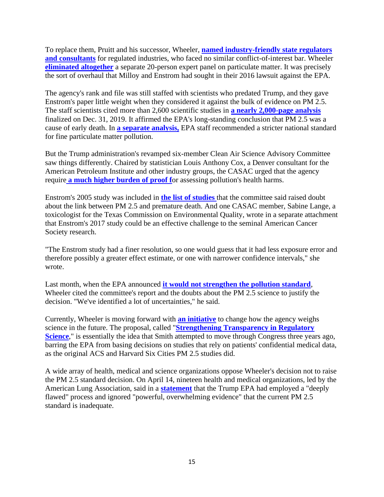To replace them, Pruitt and his successor, Wheeler, **[named industry-friendly state regulators](https://archive.epa.gov/epa/newsreleases/acting-administrator-wheeler-announces-science-advisors-key-clean-air-act-committee.html)  [and consultants](https://archive.epa.gov/epa/newsreleases/acting-administrator-wheeler-announces-science-advisors-key-clean-air-act-committee.html)** for regulated industries, who faced no similar conflict-of-interest bar. Wheeler **[eliminated altogether](https://www.nytimes.com/2018/10/11/climate/epa-disbands-pollution-science-panel.html)** a separate 20-person expert panel on particulate matter. It was precisely the sort of overhaul that Milloy and Enstrom had sought in their 2016 lawsuit against the EPA.

The agency's rank and file was still staffed with scientists who predated Trump, and they gave Enstrom's paper little weight when they considered it against the bulk of evidence on PM 2.5. The staff scientists cited more than 2,600 scientific studies in **[a nearly 2,000-page analysis](https://www.epa.gov/isa/integrated-science-assessment-isa-particulate-matter)** finalized on Dec. 31, 2019. It affirmed the EPA's long-standing conclusion that PM 2.5 was a cause of early death. In **[a separate analysis,](https://www.epa.gov/naaqs/particulate-matter-pm-standards-policy-assessments-current-review-0)** EPA staff recommended a stricter national standard for fine particulate matter pollution.

But the Trump administration's revamped six-member Clean Air Science Advisory Committee saw things differently. Chaired by statistician Louis Anthony Cox, a Denver consultant for the American Petroleum Institute and other industry groups, the CASAC urged that the agency require **[a much higher burden of proof f](https://yosemite.epa.gov/sab/sabproduct.nsf/LookupWebReportsLastMonthCASAC/E2F6C71737201612852584D20069DFB1/$File/EPA-CASAC-20-001.pdf)**or assessing pollution's health harms.

Enstrom's 2005 study was included in **[the list of studies](https://yosemite.epa.gov/sab/sabproduct.nsf/6CBCBBC3025E13B4852583D90047B352/$File/EPA-CASAC-19-002+.pdf)** that the committee said raised doubt about the link between PM 2.5 and premature death. And one CASAC member, Sabine Lange, a toxicologist for the Texas Commission on Environmental Quality, wrote in a separate attachment that Enstrom's 2017 study could be an effective challenge to the seminal American Cancer Society research.

"The Enstrom study had a finer resolution, so one would guess that it had less exposure error and therefore possibly a greater effect estimate, or one with narrower confidence intervals," she wrote.

Last month, when the EPA announced **[it would not strengthen the pollution standard](https://insideclimatenews.org/news/14042020/air-pollution-epa-covid-pm2.5-secret-science-rule-health-fuel-standard-climate-change)**, Wheeler cited the committee's report and the doubts about the PM 2.5 science to justify the decision. "We've identified a lot of uncertainties," he said.

Currently, Wheeler is moving forward with **[an initiative](https://insideclimatenews.org/news/23032020/trump-epa-health-secret-science-coronavirus)** to change how the agency weighs science in the future. The proposal, called "**[Strengthening Transparency in Regulatory](https://www.epa.gov/osa/strengthening-transparency-regulatory-science)  [Science](https://www.epa.gov/osa/strengthening-transparency-regulatory-science)**," is essentially the idea that Smith attempted to move through Congress three years ago, barring the EPA from basing decisions on studies that rely on patients' confidential medical data, as the original ACS and Harvard Six Cities PM 2.5 studies did.

A wide array of health, medical and science organizations oppose Wheeler's decision not to raise the PM 2.5 standard decision. On April 14, nineteen health and medical organizations, led by the American Lung Association, said in a **[statement](https://www.lung.org/media/press-releases/health-organizations-epa-particle-pollution)** that the Trump EPA had employed a "deeply flawed" process and ignored "powerful, overwhelming evidence" that the current PM 2.5 standard is inadequate.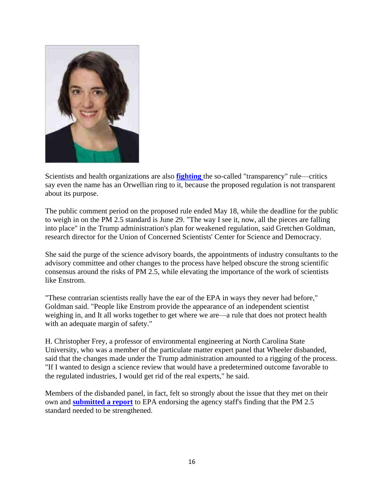

Scientists and health organizations are also **[fighting](https://insideclimatenews.org/news/15082018/epa-secret-science-rule-opposition-health-environmental-data-public-comments)** the so-called "transparency" rule—critics say even the name has an Orwellian ring to it, because the proposed regulation is not transparent about its purpose.

The public comment period on the proposed rule ended May 18, while the deadline for the public to weigh in on the PM 2.5 standard is June 29. "The way I see it, now, all the pieces are falling into place" in the Trump administration's plan for weakened regulation, said Gretchen Goldman, research director for the Union of Concerned Scientists' Center for Science and Democracy.

She said the purge of the science advisory boards, the appointments of industry consultants to the advisory committee and other changes to the process have helped obscure the strong scientific consensus around the risks of PM 2.5, while elevating the importance of the work of scientists like Enstrom.

"These contrarian scientists really have the ear of the EPA in ways they never had before," Goldman said. "People like Enstrom provide the appearance of an independent scientist weighing in, and It all works together to get where we are—a rule that does not protect health with an adequate margin of safety."

H. Christopher Frey, a professor of environmental engineering at North Carolina State University, who was a member of the particulate matter expert panel that Wheeler disbanded, said that the changes made under the Trump administration amounted to a rigging of the process. "If I wanted to design a science review that would have a predetermined outcome favorable to the regulated industries, I would get rid of the real experts," he said.

Members of the disbanded panel, in fact, felt so strongly about the issue that they met on their own and **[submitted a report](https://yosemite.epa.gov/sab/sabproduct.nsf/81DF85B5460CC14F8525849B0043144B/$File/Independent+Particulate+Matter+Review+Panel+Letter+on+Draft+PA.pdf)** to EPA endorsing the agency staff's finding that the PM 2.5 standard needed to be strengthened.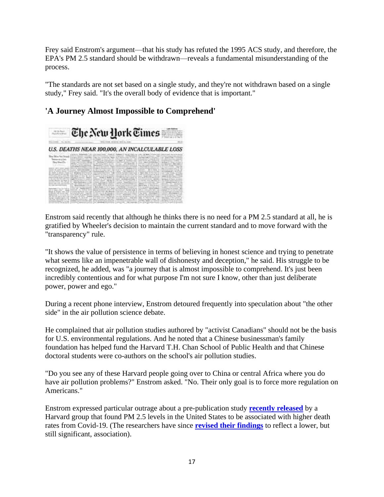Frey said Enstrom's argument—that his study has refuted the 1995 ACS study, and therefore, the EPA's PM 2.5 standard should be withdrawn—reveals a fundamental misunderstanding of the process.

"The standards are not set based on a single study, and they're not withdrawn based on a single study," Frey said. "It's the overall body of evidence that is important."



#### **'A Journey Almost Impossible to Comprehend'**

Enstrom said recently that although he thinks there is no need for a PM 2.5 standard at all, he is gratified by Wheeler's decision to maintain the current standard and to move forward with the "transparency" rule.

"It shows the value of persistence in terms of believing in honest science and trying to penetrate what seems like an impenetrable wall of dishonesty and deception," he said. His struggle to be recognized, he added, was "a journey that is almost impossible to comprehend. It's just been incredibly contentious and for what purpose I'm not sure I know, other than just deliberate power, power and ego."

During a recent phone interview, Enstrom detoured frequently into speculation about "the other side" in the air pollution science debate.

He complained that air pollution studies authored by "activist Canadians" should not be the basis for U.S. environmental regulations. And he noted that a Chinese businessman's family foundation has helped fund the Harvard T.H. Chan School of Public Health and that Chinese doctoral students were co-authors on the school's air pollution studies.

"Do you see any of these Harvard people going over to China or central Africa where you do have air pollution problems?" Enstrom asked. "No. Their only goal is to force more regulation on Americans."

Enstrom expressed particular outrage about a pre-publication study **[recently released](https://projects.iq.harvard.edu/covid-pm/home)** by a Harvard group that found PM 2.5 levels in the United States to be associated with higher death rates from Covid-19. (The researchers have since **[revised their findings](https://projects.iq.harvard.edu/covid-pm/home)** to reflect a lower, but still significant, association).